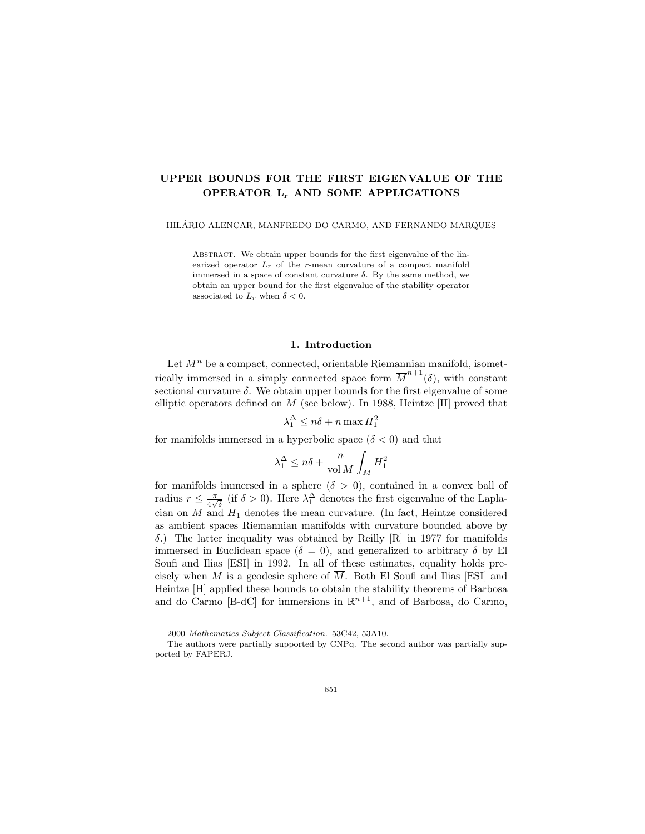# UPPER BOUNDS FOR THE FIRST EIGENVALUE OF THE OPERATOR L<sup>r</sup> AND SOME APPLICATIONS

HILARIO ALENCAR, MANFREDO DO CARMO, AND FERNANDO MARQUES ´

ABSTRACT. We obtain upper bounds for the first eigenvalue of the linearized operator  $L_r$  of the r-mean curvature of a compact manifold immersed in a space of constant curvature  $\delta$ . By the same method, we obtain an upper bound for the first eigenvalue of the stability operator associated to  $L_r$  when  $\delta < 0$ .

### 1. Introduction

Let  $M<sup>n</sup>$  be a compact, connected, orientable Riemannian manifold, isometrically immersed in a simply connected space form  $\overline{M}^{n+1}(\delta)$ , with constant sectional curvature  $\delta$ . We obtain upper bounds for the first eigenvalue of some elliptic operators defined on  $M$  (see below). In 1988, Heintze [H] proved that

$$
\lambda_1^{\Delta} \le n\delta + n \max H_1^2
$$

for manifolds immersed in a hyperbolic space  $(\delta < 0)$  and that

$$
\lambda_1^\Delta \leq n\delta + \frac{n}{\text{vol } M}\int_M H_1^2
$$

for manifolds immersed in a sphere  $(\delta > 0)$ , contained in a convex ball of radius  $r \leq \frac{\pi}{4}$  $\frac{\pi}{4\sqrt{\delta}}$  (if  $\delta > 0$ ). Here  $\lambda_1^{\Delta}$  denotes the first eigenvalue of the Laplacian on  $M$  and  $H_1$  denotes the mean curvature. (In fact, Heintze considered as ambient spaces Riemannian manifolds with curvature bounded above by δ.) The latter inequality was obtained by Reilly [R] in 1977 for manifolds immersed in Euclidean space ( $\delta = 0$ ), and generalized to arbitrary  $\delta$  by El Soufi and Ilias [ESI] in 1992. In all of these estimates, equality holds precisely when M is a geodesic sphere of  $\overline{M}$ . Both El Soufi and Ilias [ESI] and Heintze [H] applied these bounds to obtain the stability theorems of Barbosa and do Carmo [B-dC] for immersions in  $\mathbb{R}^{n+1}$ , and of Barbosa, do Carmo,

<sup>2000</sup> Mathematics Subject Classification. 53C42, 53A10.

The authors were partially supported by CNPq. The second author was partially supported by FAPERJ.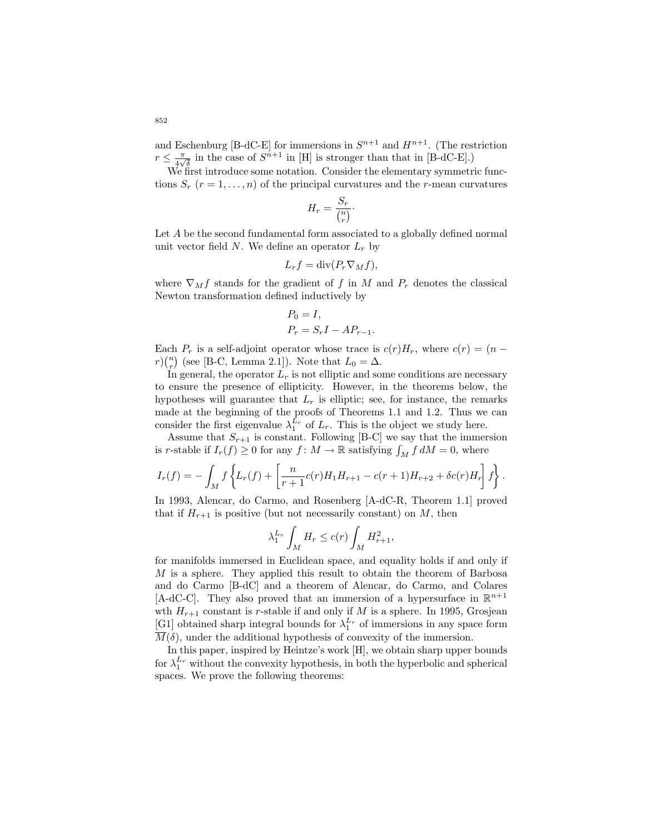and Eschenburg [B-dC-E] for immersions in  $S^{n+1}$  and  $H^{n+1}$ . (The restriction  $r \leq \frac{\pi}{4}$  $\frac{\pi}{4\sqrt{\delta}}$  in the case of  $S^{n+1}$  in [H] is stronger than that in [B-dC-E].)

We first introduce some notation. Consider the elementary symmetric functions  $S_r$   $(r = 1, \ldots, n)$  of the principal curvatures and the r-mean curvatures

$$
H_r = \frac{S_r}{\binom{n}{r}}.
$$

Let A be the second fundamental form associated to a globally defined normal unit vector field N. We define an operator  $L_r$  by

$$
L_r f = \text{div}(P_r \nabla_M f),
$$

where  $\nabla_M f$  stands for the gradient of f in M and  $P_r$  denotes the classical Newton transformation defined inductively by

$$
P_0 = I,
$$
  

$$
P_r = S_r I - A P_{r-1}.
$$

Each  $P_r$  is a self-adjoint operator whose trace is  $c(r)H_r$ , where  $c(r) = (n$  $r\binom{n}{r}$  (see [B-C, Lemma 2.1]). Note that  $L_0 = \Delta$ .

In general, the operator  $L_r$  is not elliptic and some conditions are necessary to ensure the presence of ellipticity. However, in the theorems below, the hypotheses will guarantee that  $L_r$  is elliptic; see, for instance, the remarks made at the beginning of the proofs of Theorems 1.1 and 1.2. Thus we can consider the first eigenvalue  $\lambda_1^{L_r}$  of  $L_r$ . This is the object we study here.

Assume that  $S_{r+1}$  is constant. Following [B-C] we say that the immersion is r-stable if  $I_r(f) \geq 0$  for any  $f: M \to \mathbb{R}$  satisfying  $\int_M f dM = 0$ , where

$$
I_r(f) = -\int_M f\left\{L_r(f) + \left[\frac{n}{r+1}c(r)H_1H_{r+1} - c(r+1)H_{r+2} + \delta c(r)H_r\right]f\right\}.
$$

In 1993, Alencar, do Carmo, and Rosenberg [A-dC-R, Theorem 1.1] proved that if  $H_{r+1}$  is positive (but not necessarily constant) on M, then

$$
\lambda_1^{L_r} \int_M H_r \le c(r) \int_M H_{r+1}^2,
$$

for manifolds immersed in Euclidean space, and equality holds if and only if  $M$  is a sphere. They applied this result to obtain the theorem of Barbosa and do Carmo [B-dC] and a theorem of Alencar, do Carmo, and Colares [A-dC-C]. They also proved that an immersion of a hypersurface in  $\mathbb{R}^{n+1}$ wth  $H_{r+1}$  constant is r-stable if and only if M is a sphere. In 1995, Grosjean [G1] obtained sharp integral bounds for  $\lambda_1^{L_r}$  of immersions in any space form  $\overline{M}(\delta)$ , under the additional hypothesis of convexity of the immersion.

In this paper, inspired by Heintze's work [H], we obtain sharp upper bounds for  $\lambda_1^{L_r}$  without the convexity hypothesis, in both the hyperbolic and spherical spaces. We prove the following theorems: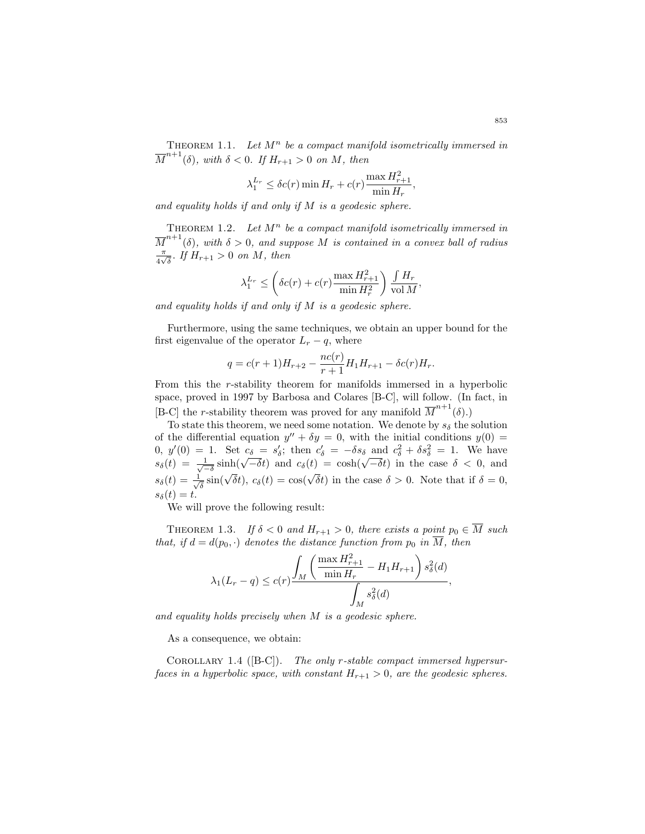THEOREM 1.1. Let  $M^n$  be a compact manifold isometrically immersed in  $\overline{M}^{n+1}(\delta)$ , with  $\delta < 0$ . If  $H_{r+1} > 0$  on M, then

$$
\lambda_1^{L_r} \le \delta c(r) \min H_r + c(r) \frac{\max H_{r+1}^2}{\min H_r},
$$

and equality holds if and only if M is a geodesic sphere.

THEOREM 1.2. Let  $M^n$  be a compact manifold isometrically immersed in  $\overline{M}^{n+1}(\delta)$ , with  $\delta > 0$ , and suppose M is contained in a convex ball of radius π  $\frac{\pi}{4\sqrt{\delta}}$ . If  $H_{r+1} > 0$  on M, then

$$
\lambda_1^{L_r} \le \left(\delta c(r) + c(r) \frac{\max H_{r+1}^2}{\min H_r^2}\right) \frac{\int H_r}{\text{vol } M},\,
$$

and equality holds if and only if  $M$  is a geodesic sphere.

Furthermore, using the same techniques, we obtain an upper bound for the first eigenvalue of the operator  $L_r - q$ , where

$$
q = c(r+1)H_{r+2} - \frac{nc(r)}{r+1}H_1H_{r+1} - \delta c(r)H_r.
$$

From this the r-stability theorem for manifolds immersed in a hyperbolic space, proved in 1997 by Barbosa and Colares [B-C], will follow. (In fact, in [B-C] the *r*-stability theorem was proved for any manifold  $\overline{M}^{n+1}(\delta)$ .)

To state this theorem, we need some notation. We denote by  $s_{\delta}$  the solution of the differential equation  $y'' + \delta y = 0$ , with the initial conditions  $y(0) =$ 0,  $y'(0) = 1$ . Set  $c_{\delta} = s'_{\delta}$ ; then  $c'_{\delta} = -\delta s_{\delta}$  and  $c_{\delta}^2 + \delta s_{\delta}^2 = 1$ . We have  $s_{\delta}(t) = 1$ . Set  $c_{\delta} = s_{\delta}$ ; then  $c_{\delta} = -\delta s_{\delta}$  and  $c_{\delta}^2 + \delta s_{\delta}^2 = 1$ . We have  $s_{\delta}(t) = \frac{1}{\sqrt{-\delta}}\sinh(\sqrt{-\delta}t)$  and  $c_{\delta}(t) = \cosh(\sqrt{-\delta}t)$  in the case  $\delta < 0$ , and  $s_\delta(t) = \frac{1}{\sqrt{2}}$  $\frac{\sqrt{-\delta}}{\sqrt{5}}$  sin( $\sqrt{\delta}t$ ),  $c_{\delta}(t) = \cos(\sqrt{\delta}t)$  in the case  $\delta > 0$ . Note that if  $\delta = 0$ ,  $s_{\delta}(t)=t.$ 

We will prove the following result:

THEOREM 1.3. If  $\delta < 0$  and  $H_{r+1} > 0$ , there exists a point  $p_0 \in \overline{M}$  such that, if  $d = d(p_0, \cdot)$  denotes the distance function from  $p_0$  in  $\overline{M}$ , then

$$
\lambda_1(L_r - q) \le c(r) \frac{\int_M \left(\frac{\max H_{r+1}^2}{\min H_r} - H_1 H_{r+1}\right) s_\delta^2(d)}{\int_M s_\delta^2(d)},
$$

and equality holds precisely when M is a geodesic sphere.

As a consequence, we obtain:

COROLLARY 1.4 ( $[BC]$ ). The only r-stable compact immersed hypersurfaces in a hyperbolic space, with constant  $H_{r+1} > 0$ , are the geodesic spheres.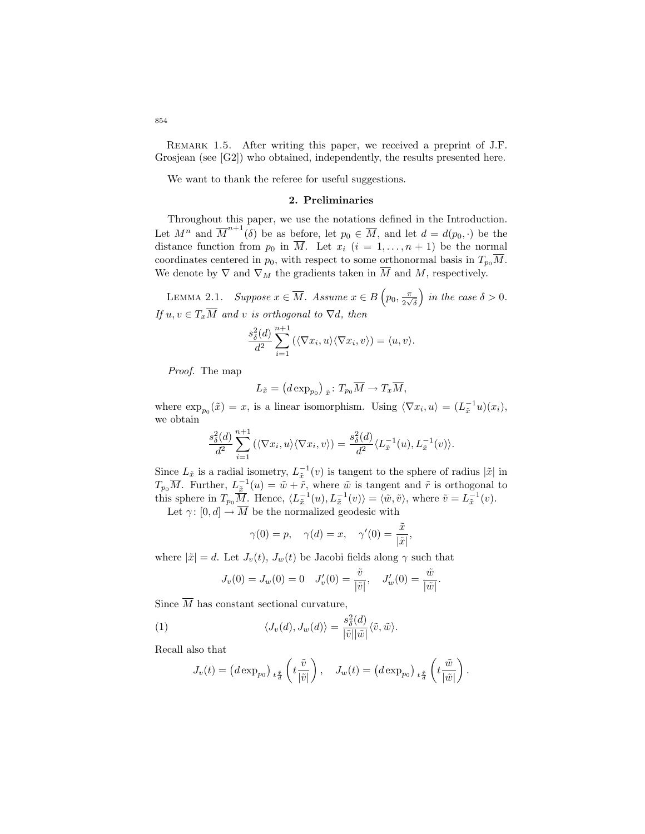REMARK 1.5. After writing this paper, we received a preprint of J.F. Grosjean (see [G2]) who obtained, independently, the results presented here.

We want to thank the referee for useful suggestions.

## 2. Preliminaries

Throughout this paper, we use the notations defined in the Introduction. Let  $M^n$  and  $\overline{M}^{n+1}(\delta)$  be as before, let  $p_0 \in \overline{M}$ , and let  $d = d(p_0, \cdot)$  be the distance function from  $p_0$  in  $\overline{M}$ . Let  $x_i$   $(i = 1, ..., n + 1)$  be the normal coordinates centered in  $p_0$ , with respect to some orthonormal basis in  $T_{p_0}\overline{M}$ . We denote by  $\nabla$  and  $\nabla_M$  the gradients taken in  $\overline{M}$  and  $M$ , respectively.

LEMMA 2.1. Suppose  $x \in \overline{M}$ . Assume  $x \in B$   $\left(p_0, \frac{\pi}{2}, p_1, \frac{\pi}{2}\right)$  $\frac{\pi}{2\sqrt{\delta}}$  in the case  $\delta > 0$ . If  $u, v \in T_x\overline{M}$  and v is orthogonal to  $\nabla d$ , then

$$
\frac{s_{\delta}^{2}(d)}{d^{2}}\sum_{i=1}^{n+1}(\langle \nabla x_{i}, u \rangle \langle \nabla x_{i}, v \rangle) = \langle u, v \rangle.
$$

Proof. The map

$$
L_{\tilde{x}} = (d \exp_{p_0})_{\tilde{x}} : T_{p_0} \overline{M} \to T_x \overline{M},
$$

where  $\exp_{p_0}(\tilde{x}) = x$ , is a linear isomorphism. Using  $\langle \nabla x_i, u \rangle = (L_{\tilde{x}}^{-1}u)(x_i)$ , we obtain

$$
\frac{s_{\delta}^2(d)}{d^2} \sum_{i=1}^{n+1} (\langle \nabla x_i, u \rangle \langle \nabla x_i, v \rangle) = \frac{s_{\delta}^2(d)}{d^2} \langle L_{\tilde{x}}^{-1}(u), L_{\tilde{x}}^{-1}(v) \rangle.
$$

Since  $L_{\tilde{x}}$  is a radial isometry,  $L_{\tilde{x}}^{-1}(v)$  is tangent to the sphere of radius  $|\tilde{x}|$  in  $T_{p_0}\overline{M}$ . Further,  $L_{\tilde{x}}^{-1}(u) = \tilde{w} + \tilde{r}$ , where  $\tilde{w}$  is tangent and  $\tilde{r}$  is orthogonal to this sphere in  $T_{p_0}\overline{M}$ . Hence,  $\langle L_{\tilde{x}}^{-1}(u), L_{\tilde{x}}^{-1}(v) \rangle = \langle \tilde{w}, \tilde{v} \rangle$ , where  $\tilde{v} = L_{\tilde{x}}^{-1}(v)$ .

Let  $\gamma: [0, d] \to \overline{M}$  be the normalized geodesic with

$$
\gamma(0) = p, \quad \gamma(d) = x, \quad \gamma'(0) = \frac{\tilde{x}}{|\tilde{x}|},
$$

where  $|\tilde{x}| = d$ . Let  $J_v(t)$ ,  $J_w(t)$  be Jacobi fields along  $\gamma$  such that

$$
J_v(0) = J_w(0) = 0
$$
  $J'_v(0) = \frac{\tilde{v}}{|\tilde{v}|}, \quad J'_w(0) = \frac{\tilde{w}}{|\tilde{w}|}.$ 

Since  $\overline{M}$  has constant sectional curvature,

(1) 
$$
\langle J_v(d), J_w(d) \rangle = \frac{s_{\delta}^2(d)}{|\tilde{v}||\tilde{w}|} \langle \tilde{v}, \tilde{w} \rangle.
$$

Recall also that

$$
J_v(t) = \left(d \exp_{p_0}\right)_{t \frac{\tilde{x}}{d}} \left(t \frac{\tilde{v}}{|\tilde{v}|}\right), \quad J_w(t) = \left(d \exp_{p_0}\right)_{t \frac{\tilde{x}}{d}} \left(t \frac{\tilde{w}}{|\tilde{w}|}\right).
$$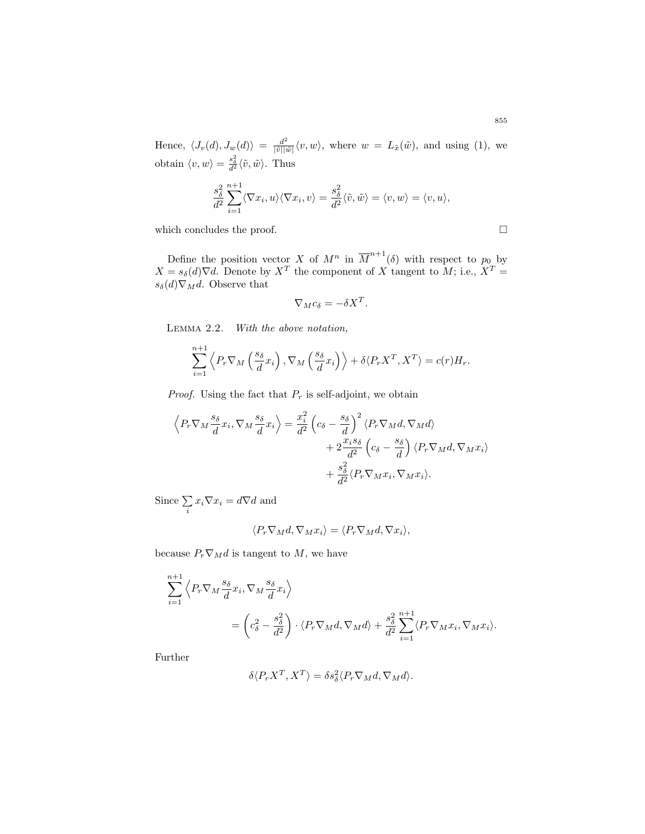Hence,  $\langle J_v(d), J_w(d)\rangle = \frac{d^2}{|\tilde{v}||\tilde{w}|} \langle v, w\rangle$ , where  $w = L_{\tilde{x}}(\tilde{w})$ , and using (1), we obtain  $\langle v, w \rangle = \frac{s_{\delta}^2}{d^2} \langle \tilde{v}, \tilde{w} \rangle$ . Thus

$$
\frac{s_{\delta}^2}{d^2} \sum_{i=1}^{n+1} \langle \nabla x_i, u \rangle \langle \nabla x_i, v \rangle = \frac{s_{\delta}^2}{d^2} \langle \tilde{v}, \tilde{w} \rangle = \langle v, w \rangle = \langle v, u \rangle,
$$

which concludes the proof.  $\Box$ 

Define the position vector X of  $M^n$  in  $\overline{M}^{n+1}(\delta)$  with respect to  $p_0$  by  $X = s_{\delta}(d)\nabla d$ . Denote by  $X^T$  the component of X tangent to M; i.e.,  $X^T =$  $s_{\delta}(d)\nabla_M d$ . Observe that

$$
\nabla_M c_\delta = -\delta X^T.
$$

Lemma 2.2. With the above notation,

$$
\sum_{i=1}^{n+1} \left\langle P_r \nabla_M \left( \frac{s_\delta}{d} x_i \right), \nabla_M \left( \frac{s_\delta}{d} x_i \right) \right\rangle + \delta \langle P_r X^T, X^T \rangle = c(r) H_r.
$$

*Proof.* Using the fact that  $P_r$  is self-adjoint, we obtain

$$
\left\langle P_r \nabla_M \frac{s_{\delta}}{d} x_i, \nabla_M \frac{s_{\delta}}{d} x_i \right\rangle = \frac{x_i^2}{d^2} \left( c_{\delta} - \frac{s_{\delta}}{d} \right)^2 \left\langle P_r \nabla_M d, \nabla_M d \right\rangle
$$

$$
+ 2 \frac{x_i s_{\delta}}{d^2} \left( c_{\delta} - \frac{s_{\delta}}{d} \right) \left\langle P_r \nabla_M d, \nabla_M x_i \right\rangle
$$

$$
+ \frac{s_{\delta}^2}{d^2} \left\langle P_r \nabla_M x_i, \nabla_M x_i \right\rangle.
$$

Since  $\Sigma$  $\sum_i x_i \nabla x_i = d \nabla d$  and

$$
\langle P_r \nabla_M d, \nabla_M x_i \rangle = \langle P_r \nabla_M d, \nabla x_i \rangle,
$$

because  $P_r \nabla_M d$  is tangent to M, we have

$$
\sum_{i=1}^{n+1} \left\langle P_r \nabla_M \frac{s_\delta}{d} x_i, \nabla_M \frac{s_\delta}{d} x_i \right\rangle
$$
  
=  $\left( c_\delta^2 - \frac{s_\delta^2}{d^2} \right) \cdot \left\langle P_r \nabla_M d, \nabla_M d \right\rangle + \frac{s_\delta^2}{d^2} \sum_{i=1}^{n+1} \left\langle P_r \nabla_M x_i, \nabla_M x_i \right\rangle.$ 

Further

$$
\delta \langle P_r X^T, X^T \rangle = \delta s_\delta^2 \langle P_r \nabla_M d, \nabla_M d \rangle.
$$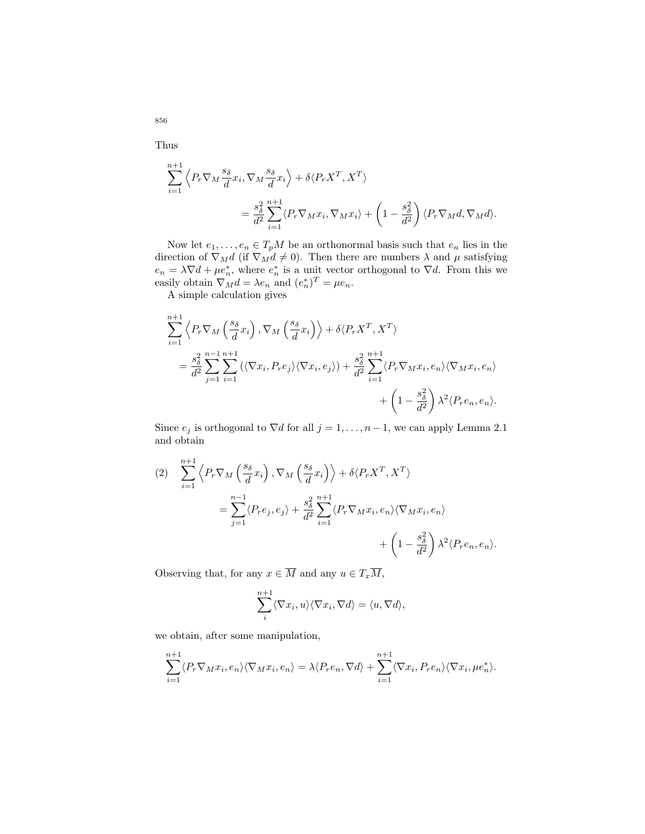Thus

$$
\sum_{i=1}^{n+1} \left\langle P_r \nabla_M \frac{s_\delta}{d} x_i, \nabla_M \frac{s_\delta}{d} x_i \right\rangle + \delta \langle P_r X^T, X^T \rangle
$$
  
= 
$$
\frac{s_\delta^2}{d^2} \sum_{i=1}^{n+1} \langle P_r \nabla_M x_i, \nabla_M x_i \rangle + \left( 1 - \frac{s_\delta^2}{d^2} \right) \langle P_r \nabla_M d, \nabla_M d \rangle.
$$

Now let  $e_1, \ldots, e_n \in T_pM$  be an orthonormal basis such that  $e_n$  lies in the direction of  $\nabla_M d$  (if  $\nabla_M d \neq 0$ ). Then there are numbers  $\lambda$  and  $\mu$  satisfying  $e_n = \lambda \nabla d + \mu e_n^*$ , where  $e_n^*$  is a unit vector orthogonal to  $\nabla d$ . From this we easily obtain  $\nabla_M^{\hat{n}d} = \lambda e_n$  and  $(e_n^*)^T = \mu e_n$ .

A simple calculation gives

$$
\sum_{i=1}^{n+1} \left\langle P_r \nabla_M \left( \frac{s_\delta}{d} x_i \right), \nabla_M \left( \frac{s_\delta}{d} x_i \right) \right\rangle + \delta \langle P_r X^T, X^T \rangle
$$
  
=  $\frac{s_\delta^2}{d^2} \sum_{j=1}^{n-1} \sum_{i=1}^{n+1} \left( \langle \nabla x_i, P_r e_j \rangle \langle \nabla x_i, e_j \rangle \right) + \frac{s_\delta^2}{d^2} \sum_{i=1}^{n+1} \langle P_r \nabla_M x_i, e_n \rangle \langle \nabla_M x_i, e_n \rangle$   
+  $\left( 1 - \frac{s_\delta^2}{d^2} \right) \lambda^2 \langle P_r e_n, e_n \rangle.$ 

Since  $e_j$  is orthogonal to  $\nabla d$  for all  $j = 1, \ldots, n-1$ , we can apply Lemma 2.1 and obtain

$$
(2) \sum_{i=1}^{n+1} \left\langle P_r \nabla_M \left( \frac{s_{\delta}}{d} x_i \right), \nabla_M \left( \frac{s_{\delta}}{d} x_i \right) \right\rangle + \delta \langle P_r X^T, X^T \rangle
$$
  

$$
= \sum_{j=1}^{n-1} \left\langle P_r e_j, e_j \right\rangle + \frac{s_{\delta}^2}{d^2} \sum_{i=1}^{n+1} \left\langle P_r \nabla_M x_i, e_n \right\rangle \left\langle \nabla_M x_i, e_n \right\rangle
$$
  

$$
+ \left( 1 - \frac{s_{\delta}^2}{d^2} \right) \lambda^2 \langle P_r e_n, e_n \rangle.
$$

Observing that, for any  $x \in \overline{M}$  and any  $u \in T_x\overline{M}$ ,

$$
\sum_{i}^{n+1} \langle \nabla x_i, u \rangle \langle \nabla x_i, \nabla d \rangle = \langle u, \nabla d \rangle,
$$

we obtain, after some manipulation,

$$
\sum_{i=1}^{n+1} \langle P_r \nabla_M x_i, e_n \rangle \langle \nabla_M x_i, e_n \rangle = \lambda \langle P_r e_n, \nabla d \rangle + \sum_{i=1}^{n+1} \langle \nabla x_i, P_r e_n \rangle \langle \nabla x_i, \mu e_n^* \rangle.
$$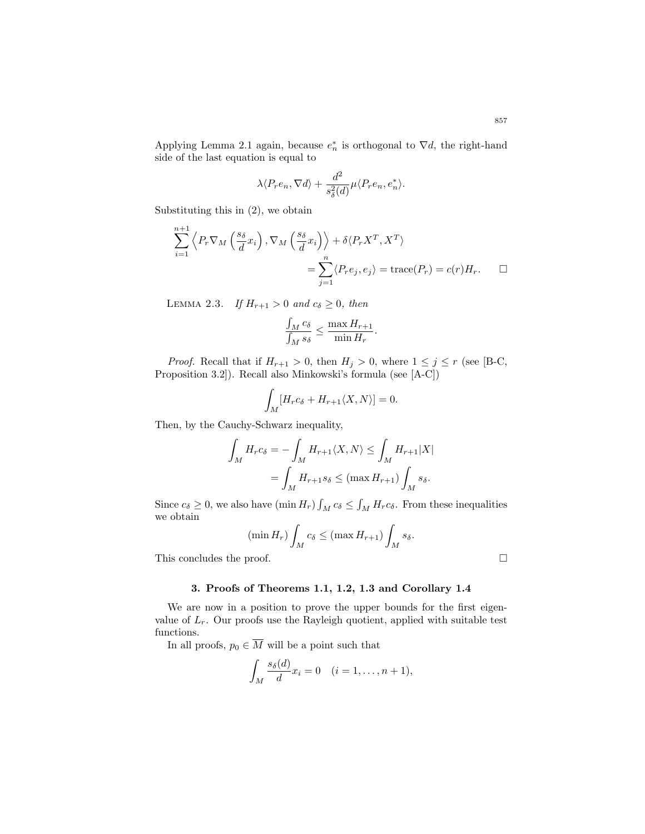Applying Lemma 2.1 again, because  $e_n^*$  is orthogonal to  $\nabla d$ , the right-hand side of the last equation is equal to

$$
\lambda \langle P_r e_n, \nabla d \rangle + \frac{d^2}{s^2_\delta(d)} \mu \langle P_r e_n, e_n^* \rangle.
$$

Substituting this in (2), we obtain

$$
\sum_{i=1}^{n+1} \left\langle P_r \nabla_M \left( \frac{s_\delta}{d} x_i \right), \nabla_M \left( \frac{s_\delta}{d} x_i \right) \right\rangle + \delta \langle P_r X^T, X^T \rangle
$$
  
= 
$$
\sum_{j=1}^n \langle P_r e_j, e_j \rangle = \text{trace}(P_r) = c(r) H_r.
$$

LEMMA 2.3. If  $H_{r+1} > 0$  and  $c_{\delta} \geq 0$ , then

$$
\frac{\int_M c_\delta}{\int_M s_\delta} \le \frac{\max H_{r+1}}{\min H_r}.
$$

*Proof.* Recall that if  $H_{r+1} > 0$ , then  $H_j > 0$ , where  $1 \leq j \leq r$  (see [B-C, Proposition 3.2]). Recall also Minkowski's formula (see [A-C])

$$
\int_M [H_r c_\delta + H_{r+1} \langle X, N \rangle] = 0.
$$

Then, by the Cauchy-Schwarz inequality,

$$
\int_M H_r c_\delta = -\int_M H_{r+1} \langle X, N \rangle \le \int_M H_{r+1} |X|
$$

$$
= \int_M H_{r+1} s_\delta \le (\max H_{r+1}) \int_M s_\delta.
$$

Since  $c_{\delta} \geq 0$ , we also have  $(\min H_r) \int_M c_{\delta} \leq \int_M H_r c_{\delta}$ . From these inequalities we obtain

$$
(\min H_r) \int_M c_\delta \leq (\max H_{r+1}) \int_M s_\delta.
$$

This concludes the proof.

#### 3. Proofs of Theorems 1.1, 1.2, 1.3 and Corollary 1.4

We are now in a position to prove the upper bounds for the first eigenvalue of  $L_r$ . Our proofs use the Rayleigh quotient, applied with suitable test functions.

In all proofs,  $p_0 \in \overline{M}$  will be a point such that

$$
\int_M \frac{s_\delta(d)}{d} x_i = 0 \quad (i = 1, \dots, n+1),
$$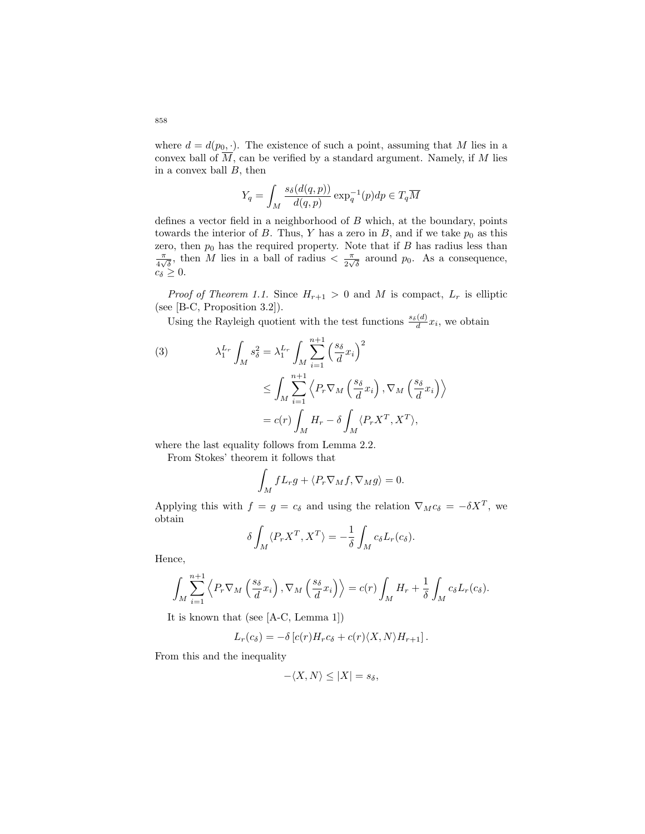where  $d = d(p_0, \cdot)$ . The existence of such a point, assuming that M lies in a convex ball of  $\overline{M}$ , can be verified by a standard argument. Namely, if M lies in a convex ball  $B$ , then

$$
Y_q = \int_M \frac{s_\delta(d(q, p))}{d(q, p)} \exp_q^{-1}(p) dp \in T_q \overline{M}
$$

defines a vector field in a neighborhood of  $B$  which, at the boundary, points towards the interior of B. Thus, Y has a zero in B, and if we take  $p_0$  as this zero, then  $p_0$  has the required property. Note that if B has radius less than π  $\frac{\pi}{4\sqrt{\delta}}$ , then M lies in a ball of radius  $\langle \frac{\pi}{2\sqrt{\delta}} \rangle$  $\frac{\pi}{2\sqrt{\delta}}$  around  $p_0$ . As a consequence,  $c_{\delta} \geq 0$ .

*Proof of Theorem 1.1.* Since  $H_{r+1} > 0$  and M is compact,  $L_r$  is elliptic (see [B-C, Proposition 3.2]).

Using the Rayleigh quotient with the test functions  $\frac{s_{\delta}(d)}{d}x_i$ , we obtain

(3) 
$$
\lambda_1^{L_r} \int_M s_\delta^2 = \lambda_1^{L_r} \int_M \sum_{i=1}^{n+1} \left(\frac{s_\delta}{d} x_i\right)^2
$$

$$
\leq \int_M \sum_{i=1}^{n+1} \left\langle P_r \nabla_M \left(\frac{s_\delta}{d} x_i\right), \nabla_M \left(\frac{s_\delta}{d} x_i\right) \right\rangle
$$

$$
= c(r) \int_M H_r - \delta \int_M \langle P_r X^T, X^T \rangle,
$$

where the last equality follows from Lemma 2.2.

From Stokes' theorem it follows that

$$
\int_M fL_r g + \langle P_r \nabla_M f, \nabla_M g \rangle = 0.
$$

Applying this with  $f = g = c_{\delta}$  and using the relation  $\nabla_M c_{\delta} = -\delta X^T$ , we obtain

$$
\delta \int_M \langle P_r X^T, X^T \rangle = -\frac{1}{\delta} \int_M c_{\delta} L_r(c_{\delta}).
$$

Hence,

$$
\int_M \sum_{i=1}^{n+1} \left\langle P_r \nabla_M \left( \frac{s_\delta}{d} x_i \right), \nabla_M \left( \frac{s_\delta}{d} x_i \right) \right\rangle = c(r) \int_M H_r + \frac{1}{\delta} \int_M c_\delta L_r(c_\delta).
$$

It is known that (see [A-C, Lemma 1])

$$
L_r(c_{\delta}) = -\delta \left[ c(r)H_r c_{\delta} + c(r) \langle X, N \rangle H_{r+1} \right].
$$

From this and the inequality

$$
-\langle X, N \rangle \le |X| = s_{\delta},
$$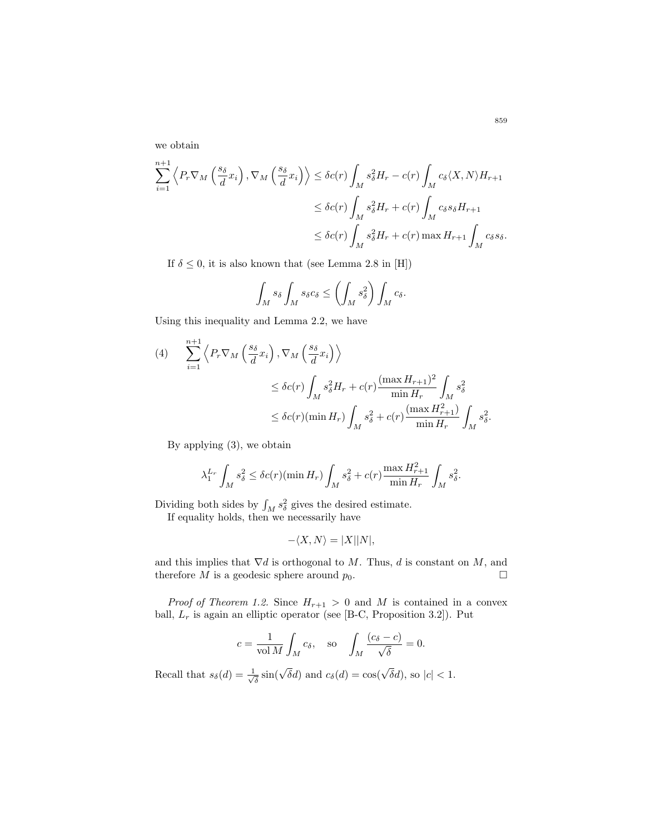we obtain

$$
\sum_{i=1}^{n+1} \left\langle P_r \nabla_M \left( \frac{s_\delta}{d} x_i \right), \nabla_M \left( \frac{s_\delta}{d} x_i \right) \right\rangle \le \delta c(r) \int_M s_\delta^2 H_r - c(r) \int_M c_\delta \langle X, N \rangle H_{r+1}
$$
  

$$
\le \delta c(r) \int_M s_\delta^2 H_r + c(r) \int_M c_\delta s_\delta H_{r+1}
$$
  

$$
\le \delta c(r) \int_M s_\delta^2 H_r + c(r) \max H_{r+1} \int_M c_\delta s_\delta.
$$

If  $\delta \leq 0$ , it is also known that (see Lemma 2.8 in [H])

$$
\int_M s_\delta \int_M s_\delta c_\delta \le \left(\int_M s_\delta^2\right) \int_M c_\delta.
$$

Using this inequality and Lemma 2.2, we have

$$
(4) \qquad \sum_{i=1}^{n+1} \left\langle P_r \nabla_M \left( \frac{s_\delta}{d} x_i \right), \nabla_M \left( \frac{s_\delta}{d} x_i \right) \right\rangle
$$
  

$$
\leq \delta c(r) \int_M s_\delta^2 H_r + c(r) \frac{(\max H_{r+1})^2}{\min H_r} \int_M s_\delta^2
$$
  

$$
\leq \delta c(r) (\min H_r) \int_M s_\delta^2 + c(r) \frac{(\max H_{r+1}^2)}{\min H_r} \int_M s_\delta^2.
$$

By applying (3), we obtain

$$
\lambda_1^{L_r} \int_M s_\delta^2 \le \delta c(r) (\min H_r) \int_M s_\delta^2 + c(r) \frac{\max H_{r+1}^2}{\min H_r} \int_M s_\delta^2.
$$

Dividing both sides by  $\int_M s_\delta^2$  gives the desired estimate.

If equality holds, then we necessarily have

$$
-\langle X, N \rangle = |X||N|,
$$

and this implies that  $\nabla d$  is orthogonal to M. Thus, d is constant on M, and therefore M is a geodesic sphere around  $p_0$ .

*Proof of Theorem 1.2.* Since  $H_{r+1} > 0$  and M is contained in a convex ball,  $L_r$  is again an elliptic operator (see [B-C, Proposition 3.2]). Put

$$
c = \frac{1}{\text{vol }M} \int_M c_\delta
$$
, so  $\int_M \frac{(c_\delta - c)}{\sqrt{\delta}} = 0$ .

Recall that  $s_{\delta}(d) = \frac{1}{\sqrt{2}}$  $\frac{1}{\delta}$  sin( $\sqrt{\delta}d$ ) and  $c_{\delta}(d) = \cos(\sqrt{\delta}d)$ , so  $|c| < 1$ .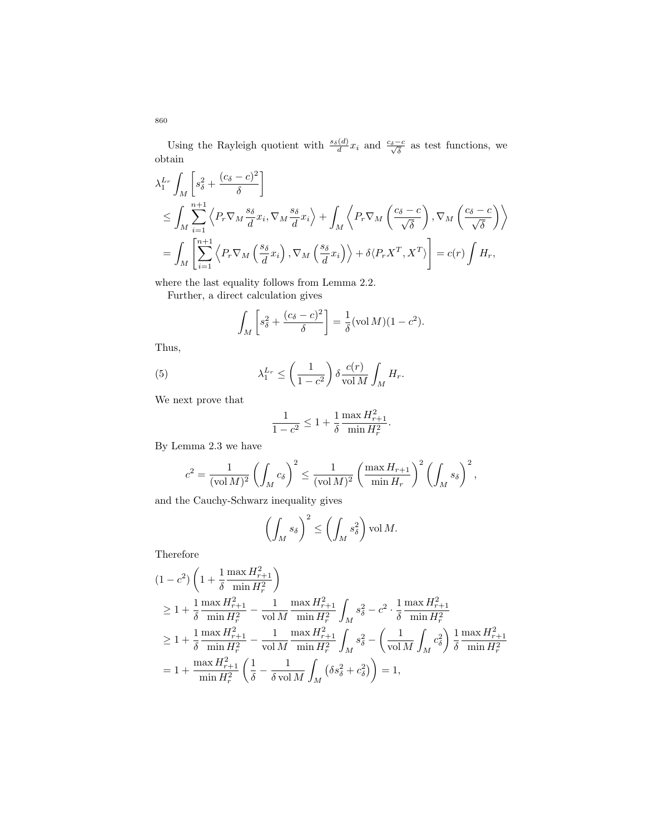Using the Rayleigh quotient with  $\frac{s_\delta(d)}{d}x_i$  and  $\frac{c_\delta-c}{\sqrt{\delta}}$  as test functions, we obtain

$$
\lambda_1^{L_r} \int_M \left[ s_\delta^2 + \frac{(c_\delta - c)^2}{\delta} \right]
$$
\n
$$
\leq \int_M \sum_{i=1}^{n+1} \left\langle P_r \nabla_M \frac{s_\delta}{d} x_i, \nabla_M \frac{s_\delta}{d} x_i \right\rangle + \int_M \left\langle P_r \nabla_M \left( \frac{c_\delta - c}{\sqrt{\delta}} \right), \nabla_M \left( \frac{c_\delta - c}{\sqrt{\delta}} \right) \right\rangle
$$
\n
$$
= \int_M \left[ \sum_{i=1}^{n+1} \left\langle P_r \nabla_M \left( \frac{s_\delta}{d} x_i \right), \nabla_M \left( \frac{s_\delta}{d} x_i \right) \right\rangle + \delta \langle P_r X^T, X^T \rangle \right] = c(r) \int H_r,
$$

where the last equality follows from Lemma 2.2.

Further, a direct calculation gives

$$
\int_M \left[ s_\delta^2 + \frac{(c_\delta - c)^2}{\delta} \right] = \frac{1}{\delta} (\text{vol } M)(1 - c^2).
$$

Thus,

(5) 
$$
\lambda_1^{L_r} \le \left(\frac{1}{1-c^2}\right) \delta \frac{c(r)}{\text{vol } M} \int_M H_r.
$$

We next prove that

$$
\frac{1}{1 - c^2} \le 1 + \frac{1}{\delta} \frac{\max H_{r+1}^2}{\min H_r^2}.
$$

By Lemma 2.3 we have

$$
c^2 = \frac{1}{(\text{vol }M)^2} \left( \int_M c_\delta \right)^2 \le \frac{1}{(\text{vol }M)^2} \left( \frac{\max H_{r+1}}{\min H_r} \right)^2 \left( \int_M s_\delta \right)^2,
$$

and the Cauchy-Schwarz inequality gives

$$
\left(\int_M s_\delta\right)^2 \le \left(\int_M s_\delta^2\right) \text{vol } M.
$$

Therefore

$$
(1 - c^2) \left( 1 + \frac{1}{\delta} \frac{\max H_{r+1}^2}{\min H_r^2} \right)
$$
  
\n
$$
\geq 1 + \frac{1}{\delta} \frac{\max H_{r+1}^2}{\min H_r^2} - \frac{1}{\text{vol } M} \frac{\max H_{r+1}^2}{\min H_r^2} \int_M s_\delta^2 - c^2 \cdot \frac{1}{\delta} \frac{\max H_{r+1}^2}{\min H_r^2}
$$
  
\n
$$
\geq 1 + \frac{1}{\delta} \frac{\max H_{r+1}^2}{\min H_r^2} - \frac{1}{\text{vol } M} \frac{\max H_{r+1}^2}{\min H_r^2} \int_M s_\delta^2 - \left( \frac{1}{\text{vol } M} \int_M c_\delta^2 \right) \frac{1}{\delta} \frac{\max H_{r+1}^2}{\min H_r^2}
$$
  
\n
$$
= 1 + \frac{\max H_{r+1}^2}{\min H_r^2} \left( \frac{1}{\delta} - \frac{1}{\delta \text{ vol } M} \int_M \left( \delta s_\delta^2 + c_\delta^2 \right) \right) = 1,
$$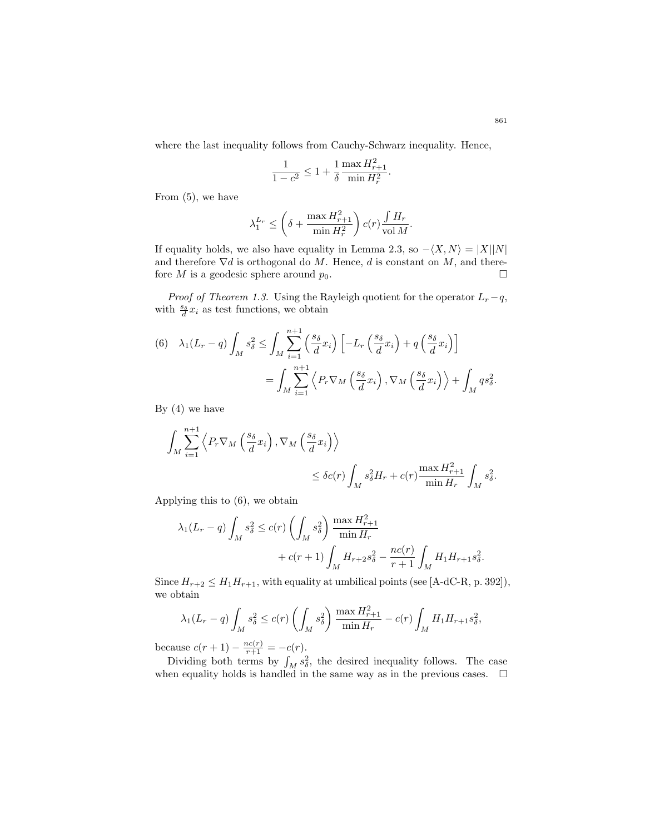where the last inequality follows from Cauchy-Schwarz inequality. Hence,

$$
\frac{1}{1-c^2} \leq 1 + \frac{1}{\delta} \frac{\max H_{r+1}^2}{\min H_r^2}.
$$

From (5), we have

$$
\lambda_1^{L_r} \le \left(\delta + \frac{\max H_{r+1}^2}{\min H_r^2}\right) c(r) \frac{\int H_r}{\text{vol } M}.
$$

If equality holds, we also have equality in Lemma 2.3, so  $-\langle X, N \rangle = |X||N|$ and therefore  $\nabla d$  is orthogonal do M. Hence, d is constant on M, and therefore M is a geodesic sphere around  $p_0$ .

*Proof of Theorem 1.3.* Using the Rayleigh quotient for the operator  $L_r - q$ , with  $\frac{s_{\delta}}{d}x_i$  as test functions, we obtain

(6) 
$$
\lambda_1(L_r - q) \int_M s_\delta^2 \le \int_M \sum_{i=1}^{n+1} \left( \frac{s_\delta}{d} x_i \right) \left[ -L_r \left( \frac{s_\delta}{d} x_i \right) + q \left( \frac{s_\delta}{d} x_i \right) \right]
$$
  
= 
$$
\int_M \sum_{i=1}^{n+1} \left\langle P_r \nabla_M \left( \frac{s_\delta}{d} x_i \right), \nabla_M \left( \frac{s_\delta}{d} x_i \right) \right\rangle + \int_M q s_\delta^2.
$$

By  $(4)$  we have

$$
\int_{M} \sum_{i=1}^{n+1} \left\langle P_r \nabla_M \left( \frac{s_{\delta}}{d} x_i \right), \nabla_M \left( \frac{s_{\delta}}{d} x_i \right) \right\rangle
$$
  

$$
\leq \delta c(r) \int_{M} s_{\delta}^2 H_r + c(r) \frac{\max H_{r+1}^2}{\min H_r} \int_{M} s_{\delta}^2.
$$

Applying this to (6), we obtain

$$
\lambda_1(L_r - q) \int_M s_\delta^2 \le c(r) \left( \int_M s_\delta^2 \right) \frac{\max H_{r+1}^2}{\min H_r} + c(r+1) \int_M H_{r+2} s_\delta^2 - \frac{nc(r)}{r+1} \int_M H_1 H_{r+1} s_\delta^2.
$$

Since  $H_{r+2} \leq H_1 H_{r+1}$ , with equality at umbilical points (see [A-dC-R, p. 392]), we obtain

$$
\lambda_1(L_r - q) \int_M s_\delta^2 \le c(r) \left( \int_M s_\delta^2 \right) \frac{\max H_{r+1}^2}{\min H_r} - c(r) \int_M H_1 H_{r+1} s_\delta^2,
$$

because  $c(r + 1) - \frac{nc(r)}{r+1} = -c(r)$ .

Dividing both terms by  $\int_M s_\delta^2$ , the desired inequality follows. The case when equality holds is handled in the same way as in the previous cases.  $\quad \Box$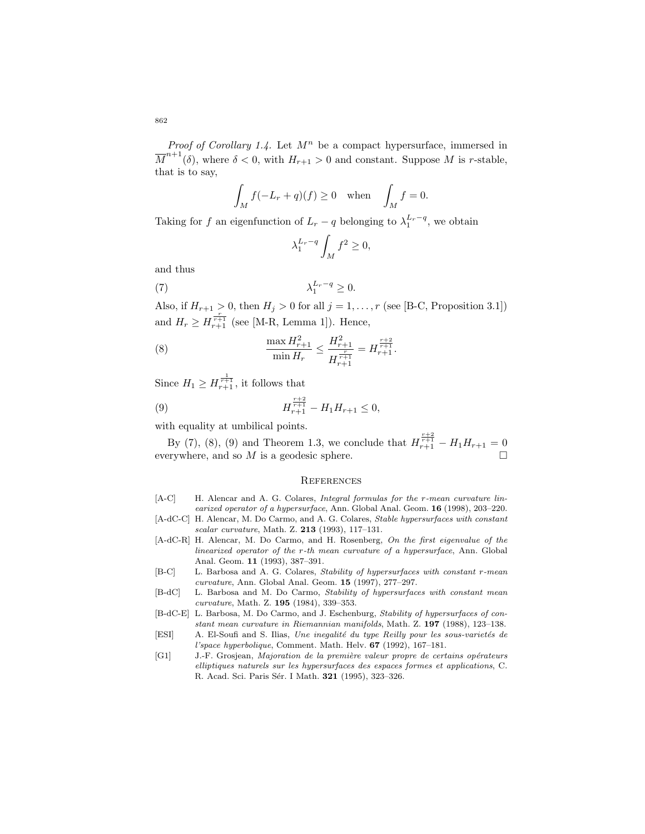*Proof of Corollary 1.4.* Let  $M^n$  be a compact hypersurface, immersed in  $\overline{M}^{n+1}(\delta)$ , where  $\delta < 0$ , with  $H_{r+1} > 0$  and constant. Suppose M is r-stable, that is to say,

$$
\int_M f(-L_r + q)(f) \ge 0 \quad \text{when} \quad \int_M f = 0.
$$

Taking for f an eigenfunction of  $L_r - q$  belonging to  $\lambda_1^{L_r - q}$ , we obtain

$$
\lambda_1^{L_r - q} \int_M f^2 \ge 0,
$$

and thus

$$
\lambda_1^{L_r - q} \ge 0.
$$

Also, if  $H_{r+1} > 0$ , then  $H_j > 0$  for all  $j = 1, ..., r$  (see [B-C, Proposition 3.1]) and  $H_r \ge H_{r+1}^{\frac{r}{r+1}}$  (see [M-R, Lemma 1]). Hence,

(8) 
$$
\frac{\max H_{r+1}^2}{\min H_r} \le \frac{H_{r+1}^2}{H_{r+1}^{\frac{r}{r+1}}} = H_{r+1}^{\frac{r+2}{r+1}}.
$$

Since  $H_1 \ge H_{r+1}^{\frac{1}{r+1}}$ , it follows that

(9) 
$$
H_{r+1}^{\frac{r+2}{r+1}} - H_1 H_{r+1} \leq 0,
$$

with equality at umbilical points.

By (7), (8), (9) and Theorem 1.3, we conclude that  $H_{r+1}^{\frac{r+2}{r+1}} - H_1 H_{r+1} = 0$ everywhere, and so  $M$  is a geodesic sphere.

#### **REFERENCES**

- [A-C] H. Alencar and A. G. Colares, *Integral formulas for the r-mean curvature lin*earized operator of a hypersurface, Ann. Global Anal. Geom. 16 (1998), 203-220.
- [A-dC-C] H. Alencar, M. Do Carmo, and A. G. Colares, *Stable hypersurfaces with constant* scalar curvature, Math. Z. 213 (1993), 117–131.
- [A-dC-R] H. Alencar, M. Do Carmo, and H. Rosenberg, On the first eigenvalue of the linearized operator of the r-th mean curvature of a hypersurface, Ann. Global Anal. Geom. 11 (1993), 387–391.
- [B-C] L. Barbosa and A. G. Colares, Stability of hypersurfaces with constant r-mean curvature, Ann. Global Anal. Geom. 15 (1997), 277–297.
- [B-dC] L. Barbosa and M. Do Carmo, Stability of hypersurfaces with constant mean curvature, Math. Z. 195 (1984), 339–353.
- [B-dC-E] L. Barbosa, M. Do Carmo, and J. Eschenburg, Stability of hypersurfaces of constant mean curvature in Riemannian manifolds, Math. Z. 197 (1988), 123–138.
- [ESI] A. El-Soufi and S. Ilias, Une inegalité du type Reilly pour les sous-varietés de l'space hyperbolique, Comment. Math. Helv. 67 (1992), 167–181.
- [G1] J.-F. Grosjean, Majoration de la première valeur propre de certains opérateurs elliptiques naturels sur les hypersurfaces des espaces formes et applications, C. R. Acad. Sci. Paris Sér. I Math. 321 (1995), 323-326.